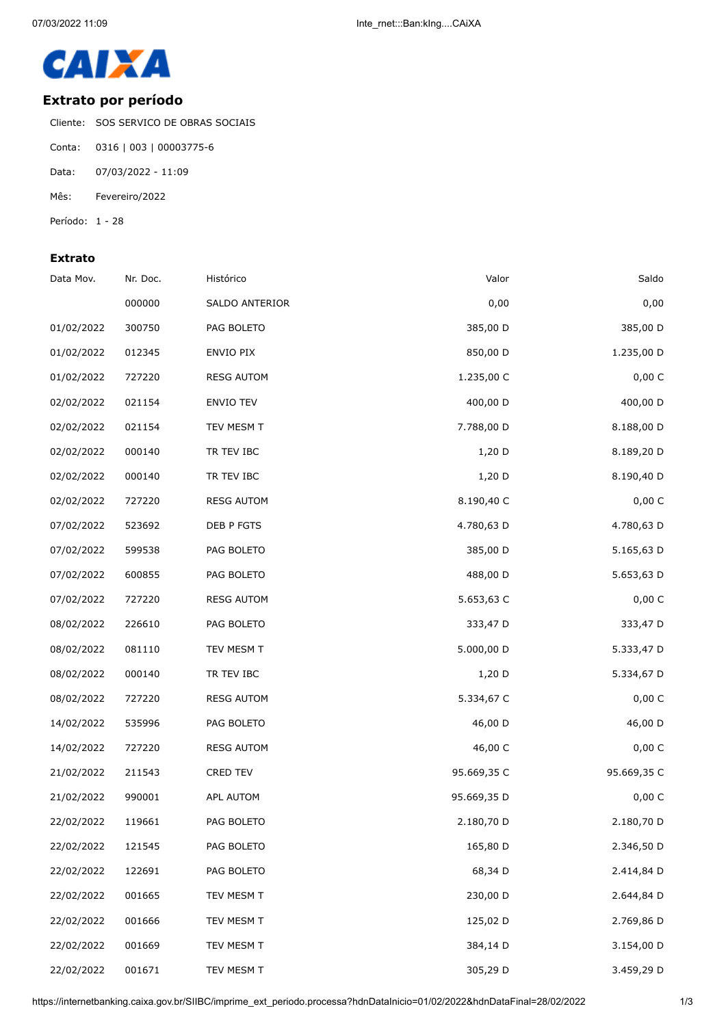

## **Extrato por período**

Cliente: SOS SERVICO DE OBRAS SOCIAIS

- Conta: 0316 | 003 | 00003775-6
- Data: 07/03/2022 11:09
- Mês: Fevereiro/2022
- Período: 1 28

## **Extrato**

| Data Mov.  | Nr. Doc. | Histórico         | Valor       | Saldo       |
|------------|----------|-------------------|-------------|-------------|
|            | 000000   | SALDO ANTERIOR    | 0,00        | 0,00        |
| 01/02/2022 | 300750   | PAG BOLETO        | 385,00 D    | 385,00 D    |
| 01/02/2022 | 012345   | ENVIO PIX         | 850,00 D    | 1.235,00 D  |
| 01/02/2022 | 727220   | <b>RESG AUTOM</b> | 1.235,00 C  | 0,00C       |
| 02/02/2022 | 021154   | ENVIO TEV         | 400,00 D    | 400,00 D    |
| 02/02/2022 | 021154   | TEV MESM T        | 7.788,00 D  | 8.188,00 D  |
| 02/02/2022 | 000140   | TR TEV IBC        | $1,20$ D    | 8.189,20 D  |
| 02/02/2022 | 000140   | TR TEV IBC        | 1,20 D      | 8.190,40 D  |
| 02/02/2022 | 727220   | <b>RESG AUTOM</b> | 8.190,40 C  | 0,00 C      |
| 07/02/2022 | 523692   | DEB P FGTS        | 4.780,63 D  | 4.780,63 D  |
| 07/02/2022 | 599538   | PAG BOLETO        | 385,00 D    | 5.165,63 D  |
| 07/02/2022 | 600855   | PAG BOLETO        | 488,00 D    | 5.653,63 D  |
| 07/02/2022 | 727220   | <b>RESG AUTOM</b> | 5.653,63 C  | 0,00 C      |
| 08/02/2022 | 226610   | PAG BOLETO        | 333,47 D    | 333,47 D    |
| 08/02/2022 | 081110   | TEV MESM T        | 5.000,00 D  | 5.333,47 D  |
| 08/02/2022 | 000140   | TR TEV IBC        | 1,20 D      | 5.334,67 D  |
| 08/02/2022 | 727220   | <b>RESG AUTOM</b> | 5.334,67 C  | 0,00 C      |
| 14/02/2022 | 535996   | PAG BOLETO        | 46,00 D     | 46,00 D     |
| 14/02/2022 | 727220   | <b>RESG AUTOM</b> | 46,00 C     | 0,00 C      |
| 21/02/2022 | 211543   | CRED TEV          | 95.669,35 C | 95.669,35 C |
| 21/02/2022 | 990001   | APL AUTOM         | 95.669,35 D | 0,00 C      |
| 22/02/2022 | 119661   | PAG BOLETO        | 2.180,70 D  | 2.180,70 D  |
| 22/02/2022 | 121545   | PAG BOLETO        | 165,80 D    | 2.346,50 D  |
| 22/02/2022 | 122691   | PAG BOLETO        | 68,34 D     | 2.414,84 D  |
| 22/02/2022 | 001665   | TEV MESM T        | 230,00 D    | 2.644,84 D  |
| 22/02/2022 | 001666   | TEV MESM T        | 125,02 D    | 2.769,86 D  |
| 22/02/2022 | 001669   | TEV MESM T        | 384,14 D    | 3.154,00 D  |
| 22/02/2022 | 001671   | TEV MESM T        | 305,29 D    | 3.459,29 D  |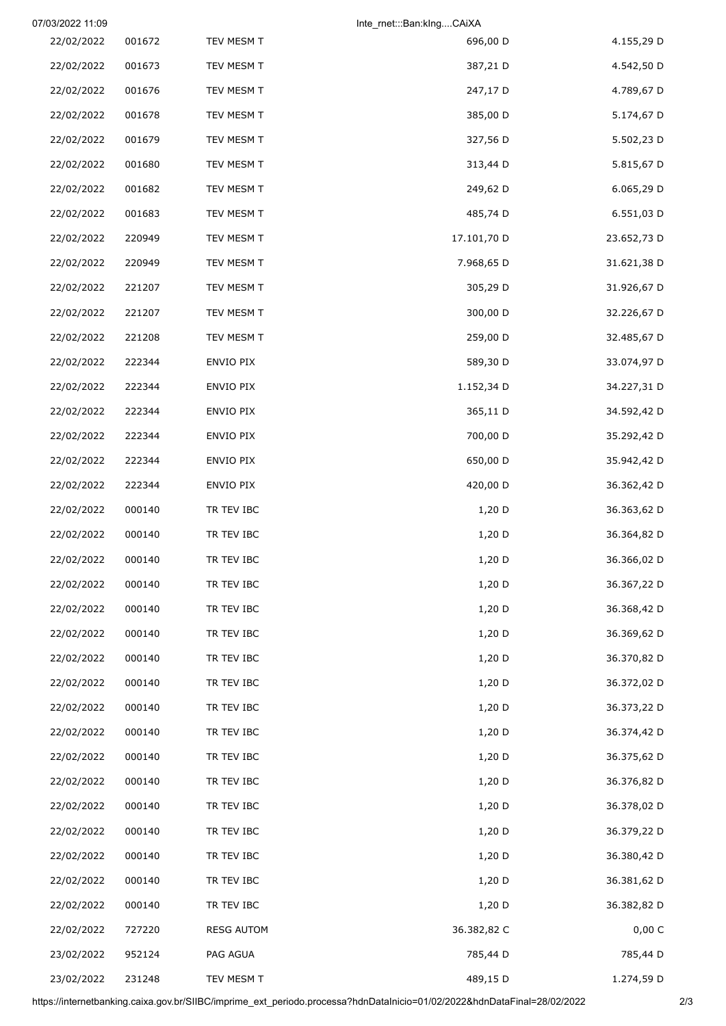| 07/03/2022 11:09 |        |                   | Inte_rnet:::Ban:kIngCAiXA |             |
|------------------|--------|-------------------|---------------------------|-------------|
| 22/02/2022       | 001672 | TEV MESM T        | 696,00 D                  | 4.155,29 D  |
| 22/02/2022       | 001673 | TEV MESM T        | 387,21 D                  | 4.542,50 D  |
| 22/02/2022       | 001676 | TEV MESM T        | 247,17 D                  | 4.789,67 D  |
| 22/02/2022       | 001678 | TEV MESM T        | 385,00 D                  | 5.174,67 D  |
| 22/02/2022       | 001679 | TEV MESM T        | 327,56 D                  | 5.502,23 D  |
| 22/02/2022       | 001680 | TEV MESM T        | 313,44 D                  | 5.815,67 D  |
| 22/02/2022       | 001682 | TEV MESM T        | 249,62 D                  | 6.065,29 D  |
| 22/02/2022       | 001683 | TEV MESM T        | 485,74 D                  | 6.551,03 D  |
| 22/02/2022       | 220949 | TEV MESM T        | 17.101,70 D               | 23.652,73 D |
| 22/02/2022       | 220949 | TEV MESM T        | 7.968,65 D                | 31.621,38 D |
| 22/02/2022       | 221207 | TEV MESM T        | 305,29 D                  | 31.926,67 D |
| 22/02/2022       | 221207 | TEV MESM T        | 300,00 D                  | 32.226,67 D |
| 22/02/2022       | 221208 | TEV MESM T        | 259,00 D                  | 32.485,67 D |
| 22/02/2022       | 222344 | ENVIO PIX         | 589,30 D                  | 33.074,97 D |
| 22/02/2022       | 222344 | ENVIO PIX         | 1.152,34 D                | 34.227,31 D |
| 22/02/2022       | 222344 | ENVIO PIX         | 365,11 D                  | 34.592,42 D |
| 22/02/2022       | 222344 | ENVIO PIX         | 700,00 D                  | 35.292,42 D |
| 22/02/2022       | 222344 | ENVIO PIX         | 650,00 D                  | 35.942,42 D |
| 22/02/2022       | 222344 | ENVIO PIX         | 420,00 D                  | 36.362,42 D |
| 22/02/2022       | 000140 | TR TEV IBC        | 1,20 D                    | 36.363,62 D |
| 22/02/2022       | 000140 | TR TEV IBC        | 1,20 D                    | 36.364,82 D |
| 22/02/2022       | 000140 | TR TEV IBC        | 1,20 D                    | 36.366,02 D |
| 22/02/2022       | 000140 | TR TEV IBC        | $1,20$ D                  | 36.367,22 D |
| 22/02/2022       | 000140 | TR TEV IBC        | 1,20 D                    | 36.368,42 D |
| 22/02/2022       | 000140 | TR TEV IBC        | $1,20$ D                  | 36.369,62 D |
| 22/02/2022       | 000140 | TR TEV IBC        | $1,20$ D                  | 36.370,82 D |
| 22/02/2022       | 000140 | TR TEV IBC        | $1,20$ D                  | 36.372,02 D |
| 22/02/2022       | 000140 | TR TEV IBC        | $1,20$ D                  | 36.373,22 D |
| 22/02/2022       | 000140 | TR TEV IBC        | 1,20 D                    | 36.374,42 D |
| 22/02/2022       | 000140 | TR TEV IBC        | $1,20$ D                  | 36.375,62 D |
| 22/02/2022       | 000140 | TR TEV IBC        | $1,20$ D                  | 36.376,82 D |
| 22/02/2022       | 000140 | TR TEV IBC        | 1,20 D                    | 36.378,02 D |
| 22/02/2022       | 000140 | TR TEV IBC        | $1,20$ D                  | 36.379,22 D |
| 22/02/2022       | 000140 | TR TEV IBC        | $1,20$ D                  | 36.380,42 D |
| 22/02/2022       | 000140 | TR TEV IBC        | $1,20$ D                  | 36.381,62 D |
| 22/02/2022       | 000140 | TR TEV IBC        | $1,20$ D                  | 36.382,82 D |
| 22/02/2022       | 727220 | <b>RESG AUTOM</b> | 36.382,82 C               | 0,00 C      |
| 23/02/2022       | 952124 | PAG AGUA          | 785,44 D                  | 785,44 D    |
| 23/02/2022       | 231248 | TEV MESM T        | 489,15 D                  | 1.274,59 D  |